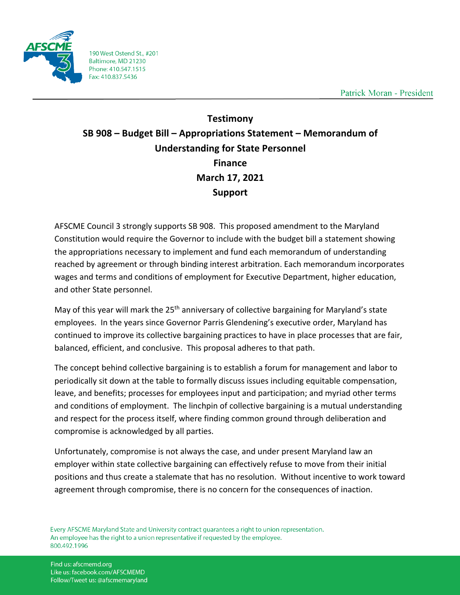

190 West Ostend St., #201 Baltimore, MD 21230 Phone: 410.547.1515 Fax: 410.837.5436

Patrick Moran - President

## **Testimony SB 908 – Budget Bill – Appropriations Statement – Memorandum of Understanding for State Personnel Finance March 17, 2021 Support**

AFSCME Council 3 strongly supports SB 908. This proposed amendment to the Maryland Constitution would require the Governor to include with the budget bill a statement showing the appropriations necessary to implement and fund each memorandum of understanding reached by agreement or through binding interest arbitration. Each memorandum incorporates wages and terms and conditions of employment for Executive Department, higher education, and other State personnel.

May of this year will mark the 25<sup>th</sup> anniversary of collective bargaining for Maryland's state employees. In the years since Governor Parris Glendening's executive order, Maryland has continued to improve its collective bargaining practices to have in place processes that are fair, balanced, efficient, and conclusive. This proposal adheres to that path.

The concept behind collective bargaining is to establish a forum for management and labor to periodically sit down at the table to formally discuss issues including equitable compensation, leave, and benefits; processes for employees input and participation; and myriad other terms and conditions of employment. The linchpin of collective bargaining is a mutual understanding and respect for the process itself, where finding common ground through deliberation and compromise is acknowledged by all parties.

Unfortunately, compromise is not always the case, and under present Maryland law an employer within state collective bargaining can effectively refuse to move from their initial positions and thus create a stalemate that has no resolution. Without incentive to work toward agreement through compromise, there is no concern for the consequences of inaction.

Every AFSCME Maryland State and University contract guarantees a right to union representation. An employee has the right to a union representative if requested by the employee. 800.492.1996